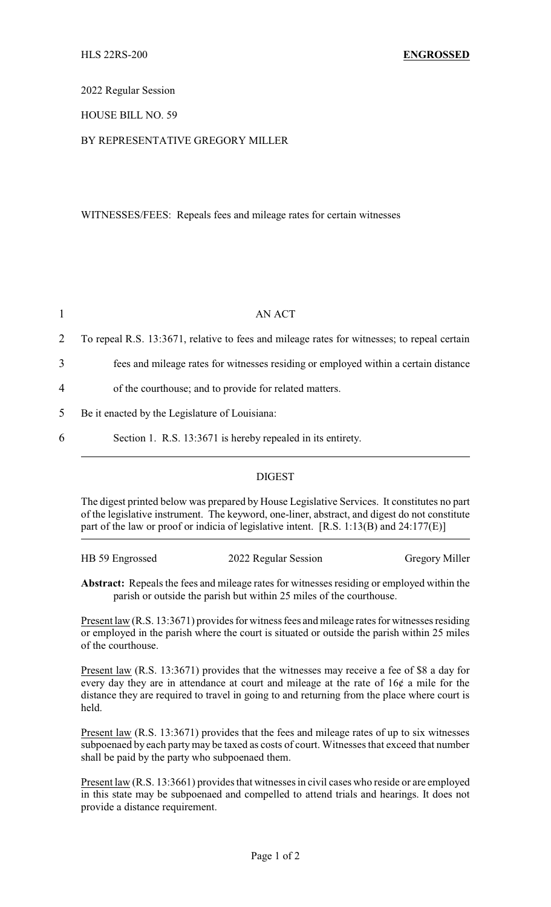2022 Regular Session

HOUSE BILL NO. 59

## BY REPRESENTATIVE GREGORY MILLER

WITNESSES/FEES: Repeals fees and mileage rates for certain witnesses

|                | AN ACT                                                                                      |  |
|----------------|---------------------------------------------------------------------------------------------|--|
| 2              | To repeal R.S. 13:3671, relative to fees and mileage rates for witnesses; to repeal certain |  |
| 3              | fees and mileage rates for witnesses residing or employed within a certain distance         |  |
| $\overline{4}$ | of the courthouse; and to provide for related matters.                                      |  |
| 5              | Be it enacted by the Legislature of Louisiana:                                              |  |
| 6              | Section 1. R.S. 13:3671 is hereby repealed in its entirety.                                 |  |

## DIGEST

The digest printed below was prepared by House Legislative Services. It constitutes no part of the legislative instrument. The keyword, one-liner, abstract, and digest do not constitute part of the law or proof or indicia of legislative intent. [R.S. 1:13(B) and 24:177(E)]

| HB 59 Engrossed | 2022 Regular Session | <b>Gregory Miller</b> |
|-----------------|----------------------|-----------------------|
|                 |                      |                       |

**Abstract:** Repeals the fees and mileage rates for witnesses residing or employed within the parish or outside the parish but within 25 miles of the courthouse.

Present law (R.S. 13:3671) provides for witness fees and mileage rates for witnesses residing or employed in the parish where the court is situated or outside the parish within 25 miles of the courthouse.

Present law (R.S. 13:3671) provides that the witnesses may receive a fee of \$8 a day for every day they are in attendance at court and mileage at the rate of 16¢ a mile for the distance they are required to travel in going to and returning from the place where court is held.

Present law (R.S. 13:3671) provides that the fees and mileage rates of up to six witnesses subpoenaed by each partymay be taxed as costs of court. Witnesses that exceed that number shall be paid by the party who subpoenaed them.

Present law (R.S. 13:3661) provides that witnesses in civil cases who reside or are employed in this state may be subpoenaed and compelled to attend trials and hearings. It does not provide a distance requirement.